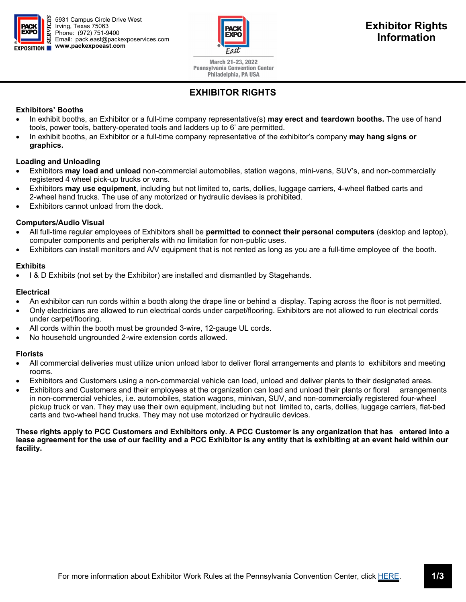



March 21-23, 2022 **Pennsylvania Convention Center** Philadelphia, PA USA

# **EXHIBITOR RIGHTS**

# **Exhibitors' Booths**

- In exhibit booths, an Exhibitor or a full-time company representative(s) **may erect and teardown booths.** The use of hand tools, power tools, battery-operated tools and ladders up to 6' are permitted.
- In exhibit booths, an Exhibitor or a full-time company representative of the exhibitor's company **may hang signs or graphics.**

# **Loading and Unloading**

- Exhibitors **may load and unload** non-commercial automobiles, station wagons, mini-vans, SUV's, and non-commercially registered 4 wheel pick-up trucks or vans.
- Exhibitors **may use equipment**, including but not limited to, carts, dollies, luggage carriers, 4-wheel flatbed carts and 2-wheel hand trucks. The use of any motorized or hydraulic devises is prohibited.
- Exhibitors cannot unload from the dock.

# **Computers/Audio Visual**

- All full-time regular employees of Exhibitors shall be **permitted to connect their personal computers** (desktop and laptop), computer components and peripherals with no limitation for non-public uses.
- Exhibitors can install monitors and A/V equipment that is not rented as long as you are a full-time employee of the booth.

# **Exhibits**

I & D Exhibits (not set by the Exhibitor) are installed and dismantled by Stagehands.

## **Electrical**

- An exhibitor can run cords within a booth along the drape line or behind a display. Taping across the floor is not permitted.
- Only electricians are allowed to run electrical cords under carpet/flooring. Exhibitors are not allowed to run electrical cords under carpet/flooring.
- All cords within the booth must be grounded 3-wire, 12-gauge UL cords.
- No household ungrounded 2-wire extension cords allowed.

# **Florists**

- All commercial deliveries must utilize union unload labor to deliver floral arrangements and plants to exhibitors and meeting rooms.
- Exhibitors and Customers using a non-commercial vehicle can load, unload and deliver plants to their designated areas.
- Exhibitors and Customers and their employees at the organization can load and unload their plants or floral arrangements in non-commercial vehicles, i.e. automobiles, station wagons, minivan, SUV, and non-commercially registered four-wheel pickup truck or van. They may use their own equipment, including but not limited to, carts, dollies, luggage carriers, flat-bed carts and two-wheel hand trucks. They may not use motorized or hydraulic devices.

**These rights apply to PCC Customers and Exhibitors only. A PCC Customer is any organization that has entered into a lease agreement for the use of our facility and a PCC Exhibitor is any entity that is exhibiting at an event held within our facility.**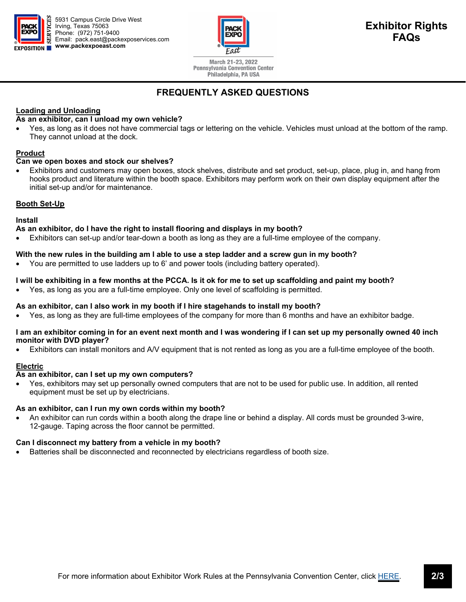

5931 Campus Circle Drive West Irving, Texas 75063 Phone: (972) 751-9400 Email: pack.east@packexposervices.com **www.packexpoeast.com** 



March 21-23, 2022 **Pennsylvania Convention Center** Philadelphia, PA USA

# **FREQUENTLY ASKED QUESTIONS**

# **Loading and Unloading**

## **As an exhibitor, can I unload my own vehicle?**

 Yes, as long as it does not have commercial tags or lettering on the vehicle. Vehicles must unload at the bottom of the ramp. They cannot unload at the dock.

# **Product**

## **Can we open boxes and stock our shelves?**

 Exhibitors and customers may open boxes, stock shelves, distribute and set product, set-up, place, plug in, and hang from hooks product and literature within the booth space. Exhibitors may perform work on their own display equipment after the initial set-up and/or for maintenance.

## **Booth Set-Up**

#### **Install**

## **As an exhibitor, do I have the right to install flooring and displays in my booth?**

Exhibitors can set-up and/or tear-down a booth as long as they are a full-time employee of the company.

## **With the new rules in the building am I able to use a step ladder and a screw gun in my booth?**

You are permitted to use ladders up to 6' and power tools (including battery operated).

## **I will be exhibiting in a few months at the PCCA. Is it ok for me to set up scaffolding and paint my booth?**

Yes, as long as you are a full-time employee. Only one level of scaffolding is permitted.

#### **As an exhibitor, can I also work in my booth if I hire stagehands to install my booth?**

Yes, as long as they are full-time employees of the company for more than 6 months and have an exhibitor badge.

#### **I am an exhibitor coming in for an event next month and I was wondering if I can set up my personally owned 40 inch monitor with DVD player?**

Exhibitors can install monitors and A/V equipment that is not rented as long as you are a full-time employee of the booth.

# **Electric**

# **As an exhibitor, can I set up my own computers?**

 Yes, exhibitors may set up personally owned computers that are not to be used for public use. In addition, all rented equipment must be set up by electricians.

#### **As an exhibitor, can I run my own cords within my booth?**

 An exhibitor can run cords within a booth along the drape line or behind a display. All cords must be grounded 3-wire, 12-gauge. Taping across the floor cannot be permitted.

#### **Can I disconnect my battery from a vehicle in my booth?**

Batteries shall be disconnected and reconnected by electricians regardless of booth size.